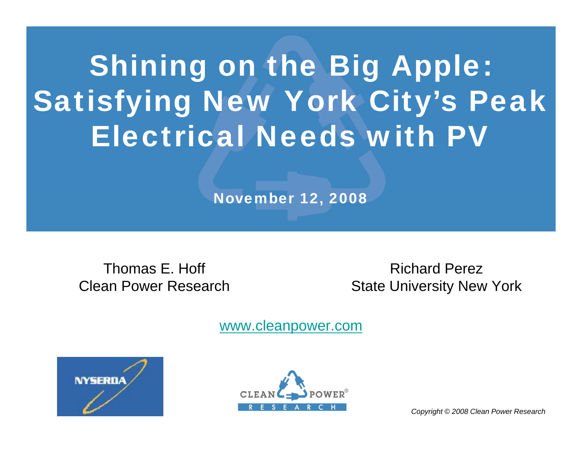# Shining on the Big Apple: Satisfying New York City's Peak Electrical Needs with PV

November 12, 2008

Thomas E. Hoff Clean Power Research

Richard PerezState University New York

www.cleanpower.com





*Copyright © 2008 Clean Power Research*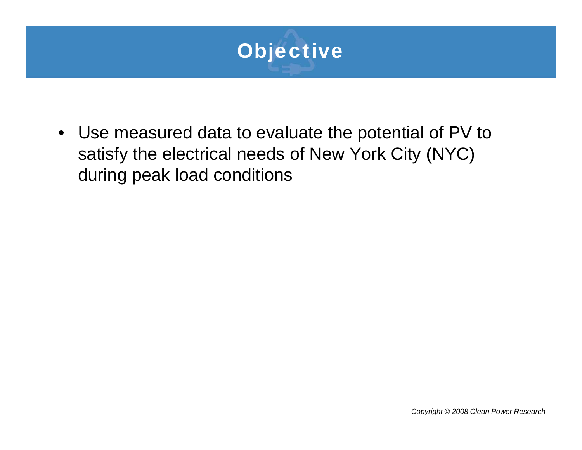

• Use measured data to evaluate the potential of PV to satisfy the electrical needs of New York City (NYC) during peak load conditions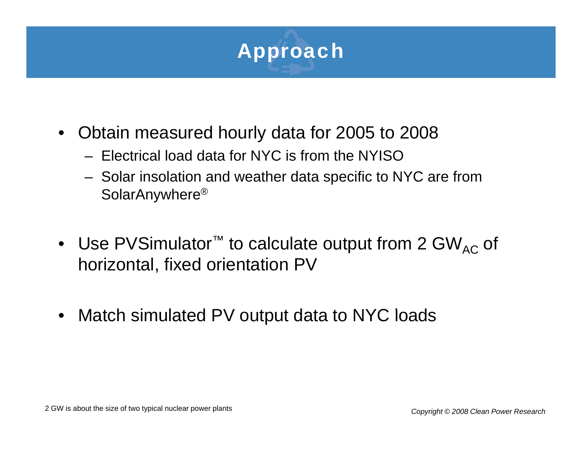

- • Obtain measured hourly data for 2005 to 2008
	- Electrical load data for NYC is from the NYISO
	- Solar insolation and weather data specific to NYC are from SolarAnywhere®
- Use PVSimulator™ to calculate output from 2 GW<sub>AC</sub> of horizontal, fixed orientation PV
- $\bullet$ • Match simulated PV output data to NYC loads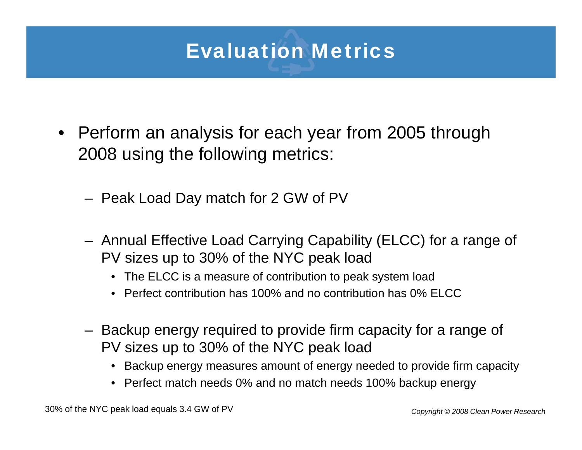## Evaluation Metrics

- Perform an analysis for each year from 2005 through 2008 using the following metrics:
	- Peak Load Day match for 2 GW of PV
	- Annual Effective Load Carrying Capability (ELCC) for a range of PV sizes up to 30% of the NYC peak load
		- The ELCC is a measure of contribution to peak system load
		- Perfect contribution has 100% and no contribution has 0% ELCC
	- Backup energy required to provide firm capacity for a range of PV sizes up to 30% of the NYC peak load
		- Backup energy measures amount of energy needed to provide firm capacity energy amount capacity•
		- Perfect match needs 0% and no match needs 100% backup energy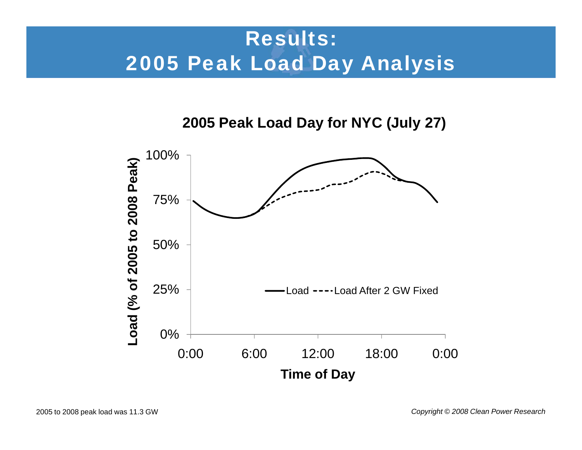## Results: 2005 Peak Load Day Analysis

**2005 Peak Load Day for NYC (July 27)**



2005 to 2008 peak load was 11.3 GW *Copyright © 2008 Clean Power Research*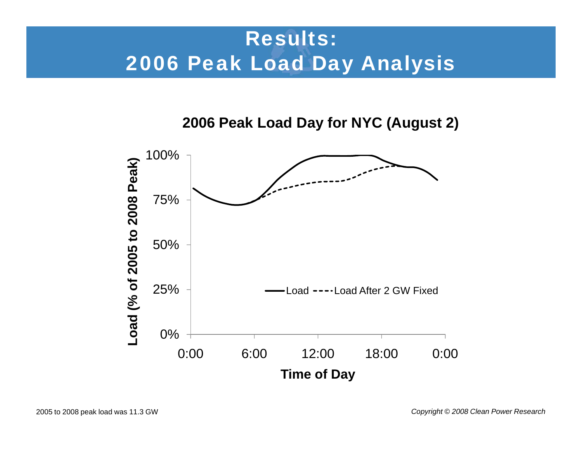## Results: 2006 Peak Load Day Analysis

**2006 Peak Load Day for NYC (August 2)**

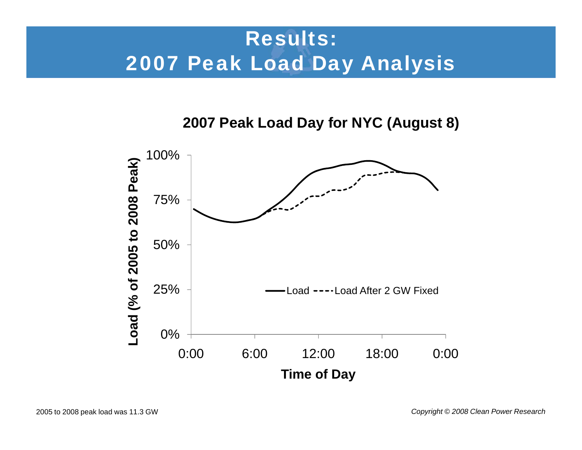## Results: 2007 Peak Load Day Analysis

**2007 Peak Load Day for NYC (August 8)**

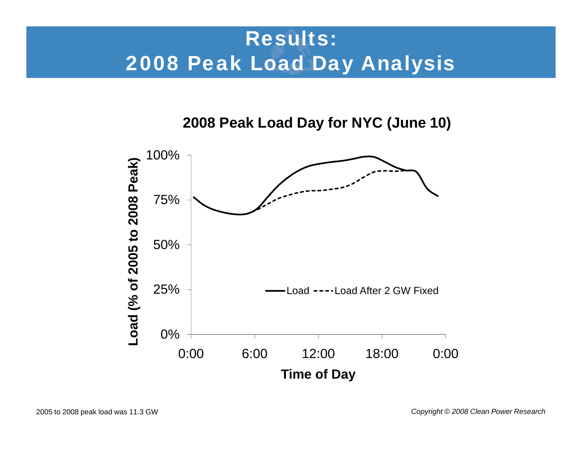## Results: 2008 Peak Load Day Analysis

**2008 Peak Load Day for NYC (June 10)**

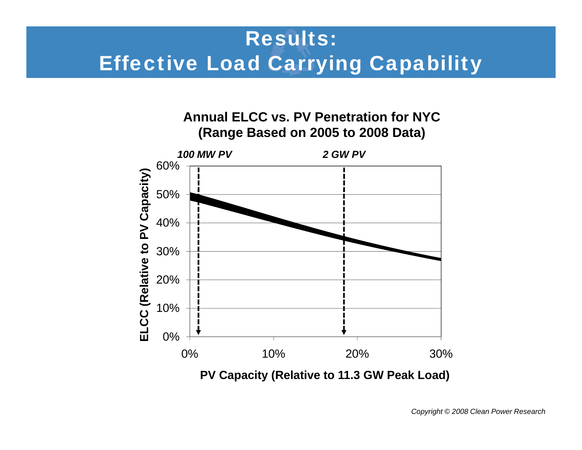## Results: Effective Load Carrying Capability



**PV Capacity (Relative to 11.3 GW Peak Load)**

*Copyright © 2008 Clean Power Research*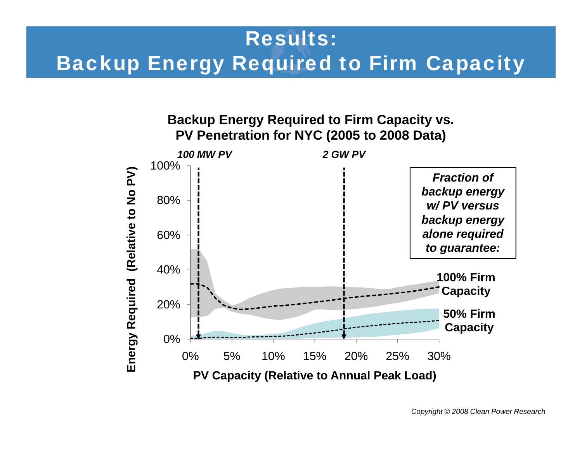#### Results:

#### Backup Energy Required to Firm Capacity